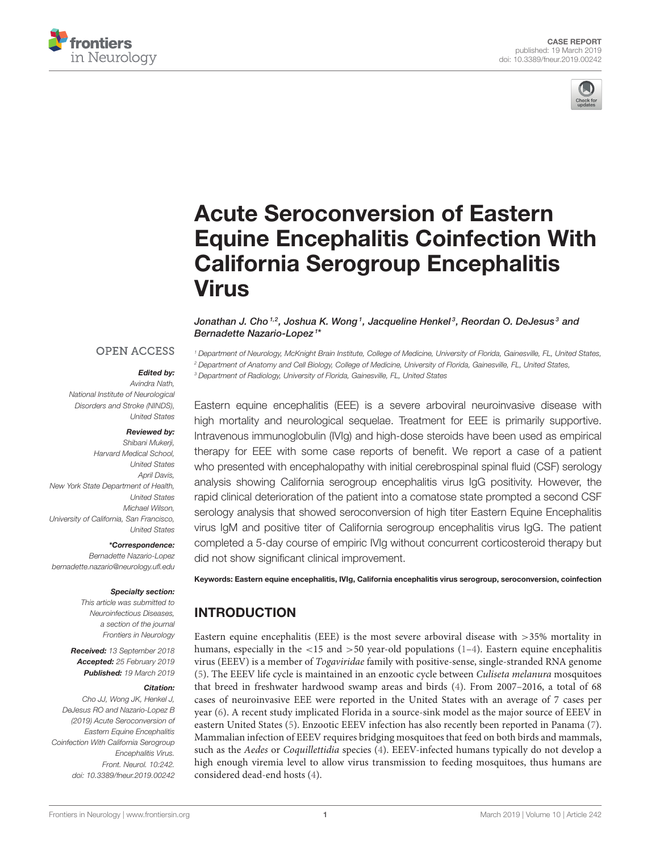



# Acute Seroconversion of Eastern [Equine Encephalitis Coinfection With](https://www.frontiersin.org/articles/10.3389/fneur.2019.00242/full) California Serogroup Encephalitis Virus

[Jonathan J. Cho](http://loop.frontiersin.org/people/614394/overview) $^{1,2}$ , [Joshua K. Wong](http://loop.frontiersin.org/people/615011/overview) $^{\,1}$ , Jacqueline Henkel $^{\,3}$ , Reordan O. DeJesus $^{\,3}$  and Bernadette Nazario-Lopez <sup>1</sup> \*

## **OPEN ACCESS**

### Edited by:

*Avindra Nath, National Institute of Neurological Disorders and Stroke (NINDS), United States*

#### Reviewed by:

*Shibani Mukerji, Harvard Medical School, United States April Davis, New York State Department of Health, United States Michael Wilson, University of California, San Francisco, United States*

\*Correspondence: *Bernadette Nazario-Lopez [bernadette.nazario@neurology.ufl.edu](mailto:bernadette.nazario@neurology.ufl.edu)*

#### Specialty section:

*This article was submitted to Neuroinfectious Diseases, a section of the journal Frontiers in Neurology*

Received: *13 September 2018* Accepted: *25 February 2019* Published: *19 March 2019*

#### Citation:

*Cho JJ, Wong JK, Henkel J, DeJesus RO and Nazario-Lopez B (2019) Acute Seroconversion of Eastern Equine Encephalitis Coinfection With California Serogroup Encephalitis Virus. Front. Neurol. 10:242. doi: [10.3389/fneur.2019.00242](https://doi.org/10.3389/fneur.2019.00242)* *<sup>1</sup> Department of Neurology, McKnight Brain Institute, College of Medicine, University of Florida, Gainesville, FL, United States, <sup>2</sup> Department of Anatomy and Cell Biology, College of Medicine, University of Florida, Gainesville, FL, United States, <sup>3</sup> Department of Radiology, University of Florida, Gainesville, FL, United States*

Eastern equine encephalitis (EEE) is a severe arboviral neuroinvasive disease with high mortality and neurological sequelae. Treatment for EEE is primarily supportive. Intravenous immunoglobulin (IVIg) and high-dose steroids have been used as empirical therapy for EEE with some case reports of benefit. We report a case of a patient who presented with encephalopathy with initial cerebrospinal spinal fluid (CSF) serology analysis showing California serogroup encephalitis virus IgG positivity. However, the rapid clinical deterioration of the patient into a comatose state prompted a second CSF serology analysis that showed seroconversion of high titer Eastern Equine Encephalitis virus IgM and positive titer of California serogroup encephalitis virus IgG. The patient completed a 5-day course of empiric IVIg without concurrent corticosteroid therapy but did not show significant clinical improvement.

Keywords: Eastern equine encephalitis, IVIg, California encephalitis virus serogroup, seroconversion, coinfection

# INTRODUCTION

Eastern equine encephalitis (EEE) is the most severe arboviral disease with >35% mortality in humans, especially in the  $\langle 15 \rangle$  and  $\langle 50 \rangle$  year-old populations [\(1–](#page-4-0)[4\)](#page-4-1). Eastern equine encephalitis virus (EEEV) is a member of Togaviridae family with positive-sense, single-stranded RNA genome [\(5\)](#page-4-2). The EEEV life cycle is maintained in an enzootic cycle between Culiseta melanura mosquitoes that breed in freshwater hardwood swamp areas and birds [\(4\)](#page-4-1). From 2007–2016, a total of 68 cases of neuroinvasive EEE were reported in the United States with an average of 7 cases per year [\(6\)](#page-4-3). A recent study implicated Florida in a source-sink model as the major source of EEEV in eastern United States [\(5\)](#page-4-2). Enzootic EEEV infection has also recently been reported in Panama [\(7\)](#page-5-0). Mammalian infection of EEEV requires bridging mosquitoes that feed on both birds and mammals, such as the Aedes or Coquillettidia species [\(4\)](#page-4-1). EEEV-infected humans typically do not develop a high enough viremia level to allow virus transmission to feeding mosquitoes, thus humans are considered dead-end hosts [\(4\)](#page-4-1).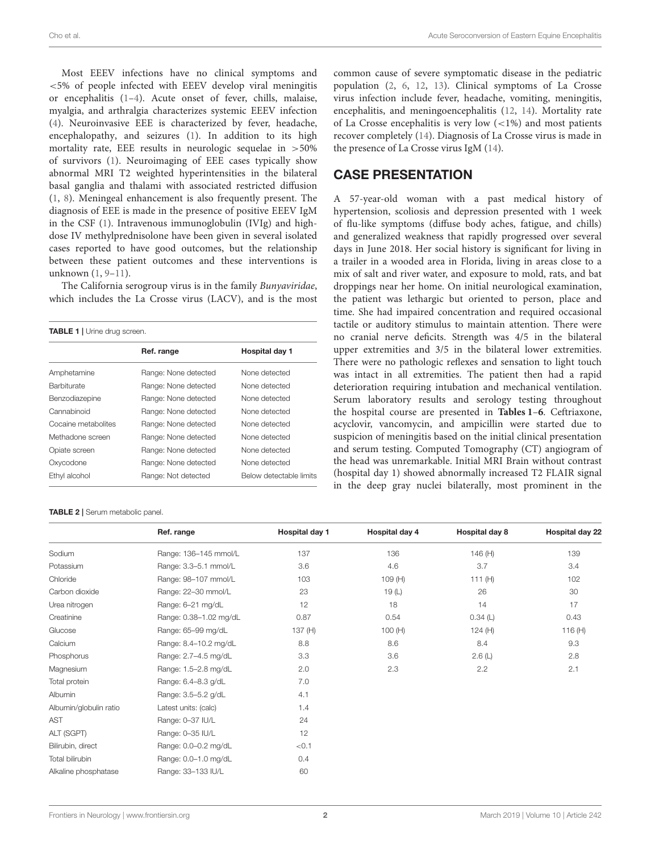Cho et al. Acute Seroconversion of Eastern Equine Encephalitis

Most EEEV infections have no clinical symptoms and <5% of people infected with EEEV develop viral meningitis or encephalitis [\(1–](#page-4-0)[4\)](#page-4-1). Acute onset of fever, chills, malaise, myalgia, and arthralgia characterizes systemic EEEV infection [\(4\)](#page-4-1). Neuroinvasive EEE is characterized by fever, headache, encephalopathy, and seizures [\(1\)](#page-4-0). In addition to its high mortality rate, EEE results in neurologic sequelae in >50% of survivors [\(1\)](#page-4-0). Neuroimaging of EEE cases typically show abnormal MRI T2 weighted hyperintensities in the bilateral basal ganglia and thalami with associated restricted diffusion [\(1,](#page-4-0) [8\)](#page-5-1). Meningeal enhancement is also frequently present. The diagnosis of EEE is made in the presence of positive EEEV IgM in the CSF [\(1\)](#page-4-0). Intravenous immunoglobulin (IVIg) and highdose IV methylprednisolone have been given in several isolated cases reported to have good outcomes, but the relationship between these patient outcomes and these interventions is unknown [\(1,](#page-4-0) [9](#page-5-2)[–11\)](#page-5-3).

The California serogroup virus is in the family Bunyaviridae, which includes the La Crosse virus (LACV), and is the most

<span id="page-1-0"></span>

| <b>TABLE 1</b>   Urine drug screen. |                      |                         |  |  |
|-------------------------------------|----------------------|-------------------------|--|--|
|                                     | Ref. range           | Hospital day 1          |  |  |
| Amphetamine                         | Range: None detected | None detected           |  |  |
| Barbiturate                         | Range: None detected | None detected           |  |  |
| Benzodiazepine                      | Range: None detected | None detected           |  |  |
| Cannabinoid                         | Range: None detected | None detected           |  |  |
| Cocaine metabolites                 | Range: None detected | None detected           |  |  |
| Methadone screen                    | Range: None detected | None detected           |  |  |
| Opiate screen                       | Range: None detected | None detected           |  |  |
| Oxycodone                           | Range: None detected | None detected           |  |  |
| Ethyl alcohol                       | Range: Not detected  | Below detectable limits |  |  |

TABLE 2 | Serum metabolic panel.

common cause of severe symptomatic disease in the pediatric population [\(2,](#page-4-4) [6,](#page-4-3) [12,](#page-5-4) [13\)](#page-5-5). Clinical symptoms of La Crosse virus infection include fever, headache, vomiting, meningitis, encephalitis, and meningoencephalitis [\(12,](#page-5-4) [14\)](#page-5-6). Mortality rate of La Crosse encephalitis is very low  $\left($  <1%) and most patients recover completely [\(14\)](#page-5-6). Diagnosis of La Crosse virus is made in the presence of La Crosse virus IgM [\(14\)](#page-5-6).

## CASE PRESENTATION

A 57-year-old woman with a past medical history of hypertension, scoliosis and depression presented with 1 week of flu-like symptoms (diffuse body aches, fatigue, and chills) and generalized weakness that rapidly progressed over several days in June 2018. Her social history is significant for living in a trailer in a wooded area in Florida, living in areas close to a mix of salt and river water, and exposure to mold, rats, and bat droppings near her home. On initial neurological examination, the patient was lethargic but oriented to person, place and time. She had impaired concentration and required occasional tactile or auditory stimulus to maintain attention. There were no cranial nerve deficits. Strength was 4/5 in the bilateral upper extremities and 3/5 in the bilateral lower extremities. There were no pathologic reflexes and sensation to light touch was intact in all extremities. The patient then had a rapid deterioration requiring intubation and mechanical ventilation. Serum laboratory results and serology testing throughout the hospital course are presented in **[Tables 1](#page-1-0)**–**[6](#page-2-0)**. Ceftriaxone, acyclovir, vancomycin, and ampicillin were started due to suspicion of meningitis based on the initial clinical presentation and serum testing. Computed Tomography (CT) angiogram of the head was unremarkable. Initial MRI Brain without contrast (hospital day 1) showed abnormally increased T2 FLAIR signal in the deep gray nuclei bilaterally, most prominent in the

|                        | Ref. range             | <b>Hospital day 1</b> | Hospital day 4 | Hospital day 8 | Hospital day 22 |
|------------------------|------------------------|-----------------------|----------------|----------------|-----------------|
| Sodium                 | Range: 136-145 mmol/L  | 137                   | 136            | 146 (H)        | 139             |
| Potassium              | Range: 3.3-5.1 mmol/L  | 3.6                   | 4.6            | 3.7            | 3.4             |
| Chloride               | Range: 98-107 mmol/L   | 103                   | 109(H)         | 111 $(H)$      | 102             |
| Carbon dioxide         | Range: 22-30 mmol/L    | 23                    | 19(L)          | 26             | 30              |
| Urea nitrogen          | Range: 6-21 mg/dL      | 12                    | 18             | 14             | 17              |
| Creatinine             | Range: 0.38-1.02 mg/dL | 0.87                  | 0.54           | 0.34(L)        | 0.43            |
| Glucose                | Range: 65-99 mg/dL     | 137 (H)               | 100(H)         | 124 $(H)$      | 116 (H)         |
| Calcium                | Range: 8.4-10.2 mg/dL  | 8.8                   | 8.6            | 8.4            | 9.3             |
| Phosphorus             | Range: 2.7-4.5 mg/dL   | 3.3                   | 3.6            | 2.6(L)         | 2.8             |
| Magnesium              | Range: 1.5-2.8 mg/dL   | 2.0                   | 2.3            | 2.2            | 2.1             |
| Total protein          | Range: 6.4-8.3 g/dL    | 7.0                   |                |                |                 |
| Albumin                | Range: 3.5-5.2 g/dL    | 4.1                   |                |                |                 |
| Albumin/globulin ratio | Latest units: (calc)   | 1.4                   |                |                |                 |
| AST                    | Range: 0-37 IU/L       | 24                    |                |                |                 |
| ALT (SGPT)             | Range: 0-35 IU/L       | 12                    |                |                |                 |
| Bilirubin, direct      | Range: 0.0-0.2 mg/dL   | < 0.1                 |                |                |                 |
| Total bilirubin        | Range: 0.0-1.0 mg/dL   | 0.4                   |                |                |                 |
| Alkaline phosphatase   | Range: 33-133 IU/L     | 60                    |                |                |                 |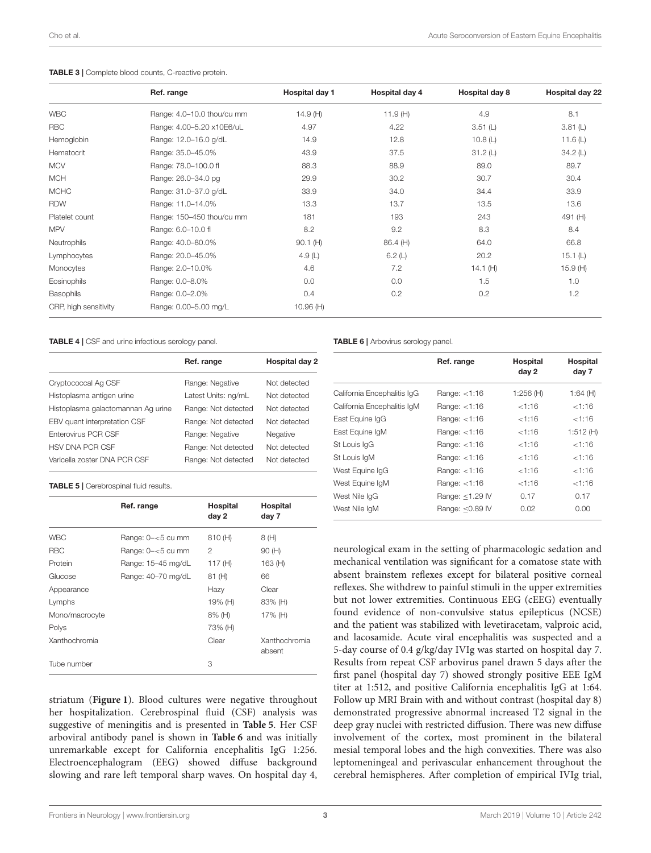|                       | Ref. range                 | Hospital day 1 | Hospital day 4 | Hospital day 8 | Hospital day 22 |
|-----------------------|----------------------------|----------------|----------------|----------------|-----------------|
| <b>WBC</b>            | Range: 4.0-10.0 thou/cu mm | 14.9(H)        | 11.9 $(H)$     | 4.9            | 8.1             |
| <b>RBC</b>            | Range: 4.00-5.20 x10E6/uL  | 4.97           | 4.22           | 3.51(L)        | 3.81(L)         |
| Hemoglobin            | Range: 12.0-16.0 g/dL      | 14.9           | 12.8           | 10.8 $(L)$     | 11.6 $(L)$      |
| Hematocrit            | Range: 35.0-45.0%          | 43.9           | 37.5           | 31.2(L)        | 34.2(L)         |
| <b>MCV</b>            | Range: 78.0-100.0 fl       | 88.3           | 88.9           | 89.0           | 89.7            |
| <b>MCH</b>            | Range: 26.0-34.0 pg        | 29.9           | 30.2           | 30.7           | 30.4            |
| <b>MCHC</b>           | Range: 31.0-37.0 g/dL      | 33.9           | 34.0           | 34.4           | 33.9            |
| <b>RDW</b>            | Range: 11.0-14.0%          | 13.3           | 13.7           | 13.5           | 13.6            |
| Platelet count        | Range: 150-450 thou/cu mm  | 181            | 193            | 243            | 491 (H)         |
| <b>MPV</b>            | Range: 6.0-10.0 fl         | 8.2            | 9.2            | 8.3            | 8.4             |
| Neutrophils           | Range: 40.0-80.0%          | $90.1$ (H)     | 86.4 (H)       | 64.0           | 66.8            |
| Lymphocytes           | Range: 20.0-45.0%          | 4.9 $(L)$      | 6.2(L)         | 20.2           | 15.1(L)         |
| Monocytes             | Range: 2.0-10.0%           | 4.6            | 7.2            | 14.1 $(H)$     | 15.9(H)         |
| Eosinophils           | Range: 0.0-8.0%            | 0.0            | 0.0            | 1.5            | 1.0             |
| Basophils             | Range: 0.0-2.0%            | 0.4            | 0.2            | 0.2            | 1.2             |
| CRP, high sensitivity | Range: 0.00-5.00 mg/L      | 10.96(H)       |                |                |                 |

#### TABLE 3 | Complete blood counts, C-reactive protein.

TABLE 4 | CSF and urine infectious serology panel.

|                                    | Ref. range          | Hospital day 2 |
|------------------------------------|---------------------|----------------|
| Cryptococcal Ag CSF                | Range: Negative     | Not detected   |
| Histoplasma antigen urine          | Latest Units: ng/mL | Not detected   |
| Histoplasma galactomannan Aq urine | Range: Not detected | Not detected   |
| EBV quant interpretation CSF       | Range: Not detected | Not detected   |
| Enterovirus PCR CSF                | Range: Negative     | Negative       |
| <b>HSV DNA PCR CSF</b>             | Range: Not detected | Not detected   |
| Varicella zoster DNA PCR CSF       | Range: Not detected | Not detected   |

<span id="page-2-1"></span>TABLE 5 | Cerebrospinal fluid results.

|                | Ref. range           | Hospital<br>day 2 | Hospital<br>day 7       |
|----------------|----------------------|-------------------|-------------------------|
| <b>WBC</b>     | Range: $0 - 5$ cu mm | 810 (H)           | 8 (H)                   |
| <b>RBC</b>     | Range: $0 - 5$ cu mm | 2                 | 90(H)                   |
| Protein        | Range: 15-45 mg/dL   | 117 $(H)$         | 163(H)                  |
| Glucose        | Range: 40-70 mg/dL   | 81 (H)            | 66                      |
| Appearance     |                      | Hazy              | Clear                   |
| Lymphs         |                      | 19% (H)           | 83% (H)                 |
| Mono/macrocyte |                      | 8% (H)            | 17% (H)                 |
| Polys          |                      | 73% (H)           |                         |
| Xanthochromia  |                      | Clear             | Xanthochromia<br>absent |
| Tube number    |                      | 3                 |                         |

striatum (**[Figure 1](#page-3-0)**). Blood cultures were negative throughout her hospitalization. Cerebrospinal fluid (CSF) analysis was suggestive of meningitis and is presented in **[Table 5](#page-2-1)**. Her CSF arboviral antibody panel is shown in **[Table 6](#page-2-0)** and was initially unremarkable except for California encephalitis IgG 1:256. Electroencephalogram (EEG) showed diffuse background slowing and rare left temporal sharp waves. On hospital day 4, <span id="page-2-0"></span>TABLE 6 | Arbovirus serology panel.

|                             | Ref. range      | <b>Hospital</b><br>day 2 | <b>Hospital</b><br>day 7 |
|-----------------------------|-----------------|--------------------------|--------------------------|
| California Encephalitis IqG | Range: $<$ 1:16 | 1:256(H)                 | 1:64 (H)                 |
| California Encephalitis IqM | Range: $<$ 1:16 | < 1:16                   | < 1:16                   |
| East Equine IqG             | Range: $<$ 1:16 | < 1:16                   | < 1:16                   |
| East Equine IgM             | Range: $<$ 1:16 | < 1:16                   | 1:512 (H)                |
| St Louis IgG                | Range: $<$ 1:16 | <1:16                    | < 1:16                   |
| St Louis IgM                | Range: $<$ 1:16 | <1:16                    | < 1:16                   |
| West Equine IqG             | Range: $<$ 1:16 | < 1:16                   | < 1:16                   |
| West Equine IqM             | Range: $<$ 1:16 | < 1:16                   | < 1:16                   |
| West Nile IgG               | Range: <1.29 IV | 0.17                     | 0.17                     |
| West Nile IgM               | Range: <0.89 IV | 0.02                     | 0.00                     |

neurological exam in the setting of pharmacologic sedation and mechanical ventilation was significant for a comatose state with absent brainstem reflexes except for bilateral positive corneal reflexes. She withdrew to painful stimuli in the upper extremities but not lower extremities. Continuous EEG (cEEG) eventually found evidence of non-convulsive status epilepticus (NCSE) and the patient was stabilized with levetiracetam, valproic acid, and lacosamide. Acute viral encephalitis was suspected and a 5-day course of 0.4 g/kg/day IVIg was started on hospital day 7. Results from repeat CSF arbovirus panel drawn 5 days after the first panel (hospital day 7) showed strongly positive EEE IgM titer at 1:512, and positive California encephalitis IgG at 1:64. Follow up MRI Brain with and without contrast (hospital day 8) demonstrated progressive abnormal increased T2 signal in the deep gray nuclei with restricted diffusion. There was new diffuse involvement of the cortex, most prominent in the bilateral mesial temporal lobes and the high convexities. There was also leptomeningeal and perivascular enhancement throughout the cerebral hemispheres. After completion of empirical IVIg trial,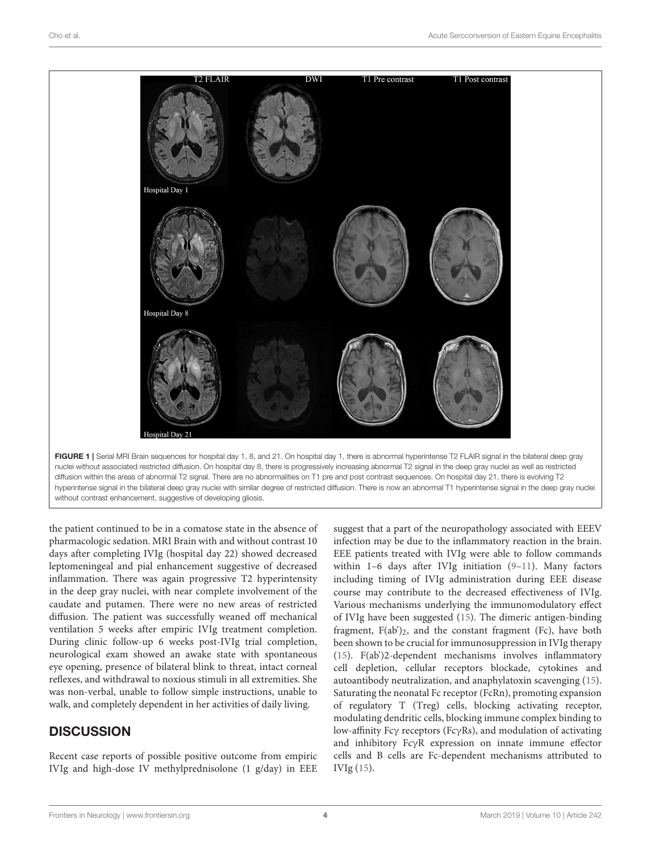

<span id="page-3-0"></span>the patient continued to be in a comatose state in the absence of pharmacologic sedation. MRI Brain with and without contrast 10 days after completing IVIg (hospital day 22) showed decreased leptomeningeal and pial enhancement suggestive of decreased inflammation. There was again progressive T2 hyperintensity in the deep gray nuclei, with near complete involvement of the caudate and putamen. There were no new areas of restricted diffusion. The patient was successfully weaned off mechanical ventilation 5 weeks after empiric IVIg treatment completion. During clinic follow-up 6 weeks post-IVIg trial completion, neurological exam showed an awake state with spontaneous eye opening, presence of bilateral blink to threat, intact corneal reflexes, and withdrawal to noxious stimuli in all extremities. She was non-verbal, unable to follow simple instructions, unable to walk, and completely dependent in her activities of daily living.

# **DISCUSSION**

Recent case reports of possible positive outcome from empiric IVIg and high-dose IV methylprednisolone (1 g/day) in EEE

suggest that a part of the neuropathology associated with EEEV infection may be due to the inflammatory reaction in the brain. EEE patients treated with IVIg were able to follow commands within 1–6 days after IVIg initiation [\(9](#page-5-2)[–11\)](#page-5-3). Many factors including timing of IVIg administration during EEE disease course may contribute to the decreased effectiveness of IVIg. Various mechanisms underlying the immunomodulatory effect of IVIg have been suggested [\(15\)](#page-5-7). The dimeric antigen-binding fragment,  $F(ab')_2$ , and the constant fragment (Fc), have both been shown to be crucial for immunosuppression in IVIg therapy [\(15\)](#page-5-7). F(ab')2-dependent mechanisms involves inflammatory cell depletion, cellular receptors blockade, cytokines and autoantibody neutralization, and anaphylatoxin scavenging [\(15\)](#page-5-7). Saturating the neonatal Fc receptor (FcRn), promoting expansion of regulatory T (Treg) cells, blocking activating receptor, modulating dendritic cells, blocking immune complex binding to low-affinity Fcγ receptors (FcγRs), and modulation of activating and inhibitory FcγR expression on innate immune effector cells and B cells are Fc-dependent mechanisms attributed to IVIg [\(15\)](#page-5-7).